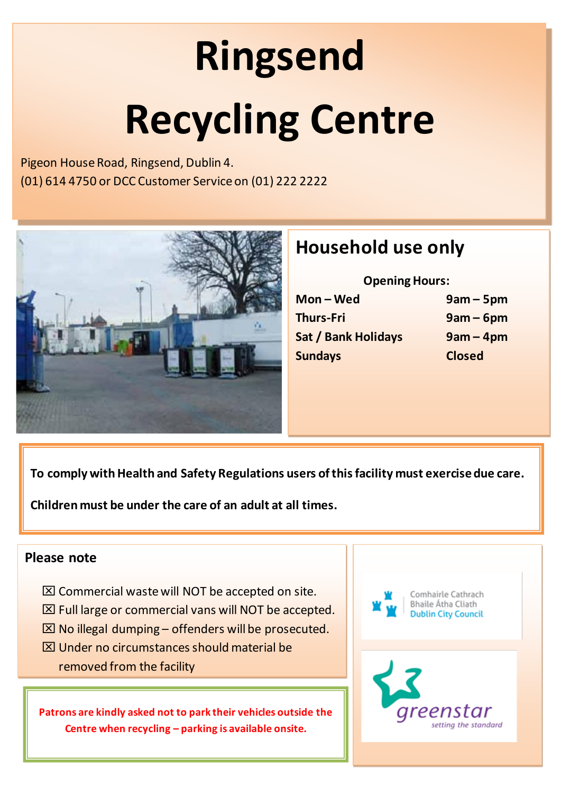# **Ringsend Recycling Centre**

Pigeon House Road, Ringsend, Dublin 4. (01) 614 4750 or DCC Customer Service on (01) 222 2222



## **Household use only**

**Opening Hours: Mon – Wed 9am – 5pm Thurs-Fri 9am – 6pm Sat / Bank Holidays 9am – 4pm Sundays Closed**

**To comply with Health and Safety Regulations users of this facility must exercise due care.** 

**Children must be under the care of an adult at all times.**

#### **Please note**

- $\boxtimes$  Commercial waste will NOT be accepted on site.
- $\boxtimes$  Full large or commercial vans will NOT be accepted.
- $\boxtimes$  No illegal dumping offenders will be prosecuted.
- $\boxtimes$  Under no circumstances should material be removed from the facility

**Patrons are kindly asked not to park their vehicles outside the Centre when recycling – parking is available onsite.**